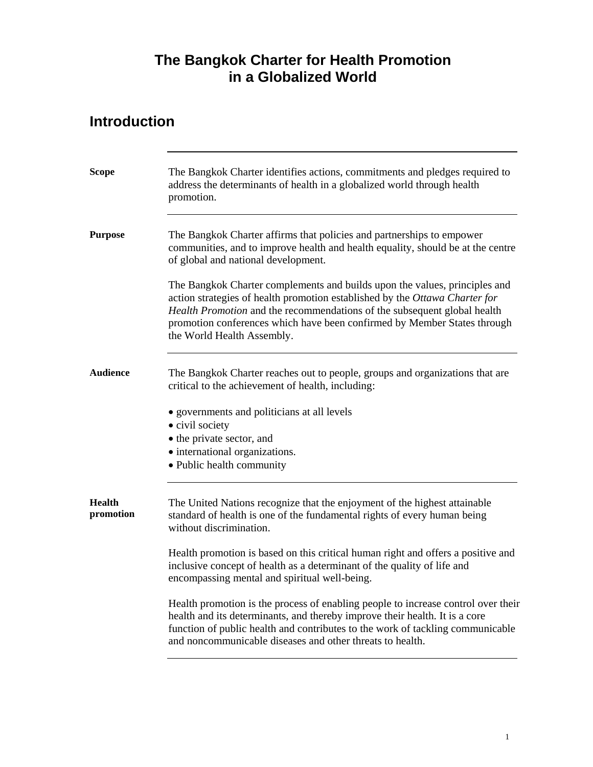#### **The Bangkok Charter for Health Promotion in a Globalized World**

### **Introduction**

| <b>Scope</b>               | The Bangkok Charter identifies actions, commitments and pledges required to<br>address the determinants of health in a globalized world through health<br>promotion.                                                                                                                                                                            |
|----------------------------|-------------------------------------------------------------------------------------------------------------------------------------------------------------------------------------------------------------------------------------------------------------------------------------------------------------------------------------------------|
| <b>Purpose</b>             | The Bangkok Charter affirms that policies and partnerships to empower<br>communities, and to improve health and health equality, should be at the centre<br>of global and national development.                                                                                                                                                 |
|                            | The Bangkok Charter complements and builds upon the values, principles and<br>action strategies of health promotion established by the Ottawa Charter for<br>Health Promotion and the recommendations of the subsequent global health<br>promotion conferences which have been confirmed by Member States through<br>the World Health Assembly. |
| <b>Audience</b>            | The Bangkok Charter reaches out to people, groups and organizations that are<br>critical to the achievement of health, including:                                                                                                                                                                                                               |
|                            | • governments and politicians at all levels<br>• civil society<br>• the private sector, and<br>• international organizations.<br>• Public health community                                                                                                                                                                                      |
| <b>Health</b><br>promotion | The United Nations recognize that the enjoyment of the highest attainable<br>standard of health is one of the fundamental rights of every human being<br>without discrimination.                                                                                                                                                                |
|                            | Health promotion is based on this critical human right and offers a positive and<br>inclusive concept of health as a determinant of the quality of life and<br>encompassing mental and spiritual well-being.                                                                                                                                    |
|                            | Health promotion is the process of enabling people to increase control over their<br>health and its determinants, and thereby improve their health. It is a core<br>function of public health and contributes to the work of tackling communicable<br>and noncommunicable diseases and other threats to health.                                 |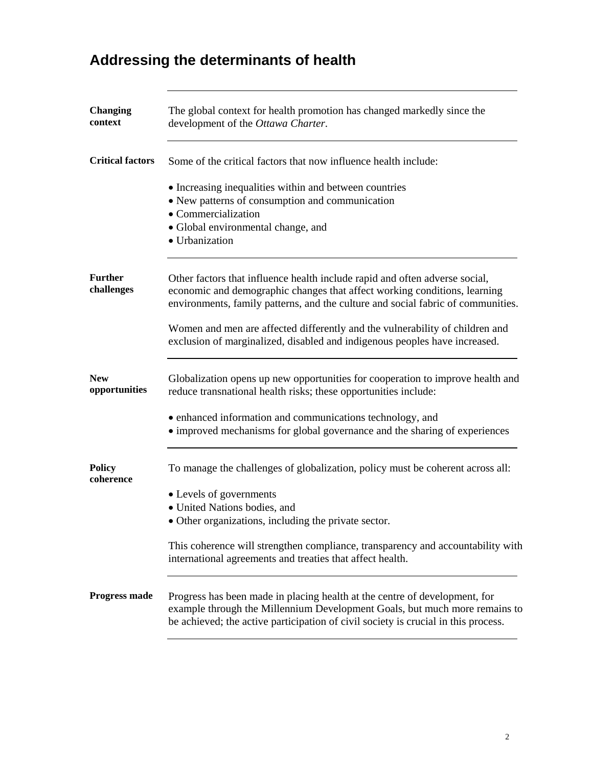# **Addressing the determinants of health**

| <b>Changing</b><br>context   | The global context for health promotion has changed markedly since the<br>development of the Ottawa Charter.                                                                                                                                   |
|------------------------------|------------------------------------------------------------------------------------------------------------------------------------------------------------------------------------------------------------------------------------------------|
| <b>Critical factors</b>      | Some of the critical factors that now influence health include:                                                                                                                                                                                |
|                              | • Increasing inequalities within and between countries<br>• New patterns of consumption and communication<br>• Commercialization<br>• Global environmental change, and<br>· Urbanization                                                       |
| <b>Further</b><br>challenges | Other factors that influence health include rapid and often adverse social,<br>economic and demographic changes that affect working conditions, learning<br>environments, family patterns, and the culture and social fabric of communities.   |
|                              | Women and men are affected differently and the vulnerability of children and<br>exclusion of marginalized, disabled and indigenous peoples have increased.                                                                                     |
| <b>New</b><br>opportunities  | Globalization opens up new opportunities for cooperation to improve health and<br>reduce transnational health risks; these opportunities include:                                                                                              |
|                              | • enhanced information and communications technology, and<br>• improved mechanisms for global governance and the sharing of experiences                                                                                                        |
| <b>Policy</b><br>coherence   | To manage the challenges of globalization, policy must be coherent across all:                                                                                                                                                                 |
|                              | • Levels of governments<br>· United Nations bodies, and                                                                                                                                                                                        |
|                              | • Other organizations, including the private sector.                                                                                                                                                                                           |
|                              | This coherence will strengthen compliance, transparency and accountability with<br>international agreements and treaties that affect health.                                                                                                   |
| Progress made                | Progress has been made in placing health at the centre of development, for<br>example through the Millennium Development Goals, but much more remains to<br>be achieved; the active participation of civil society is crucial in this process. |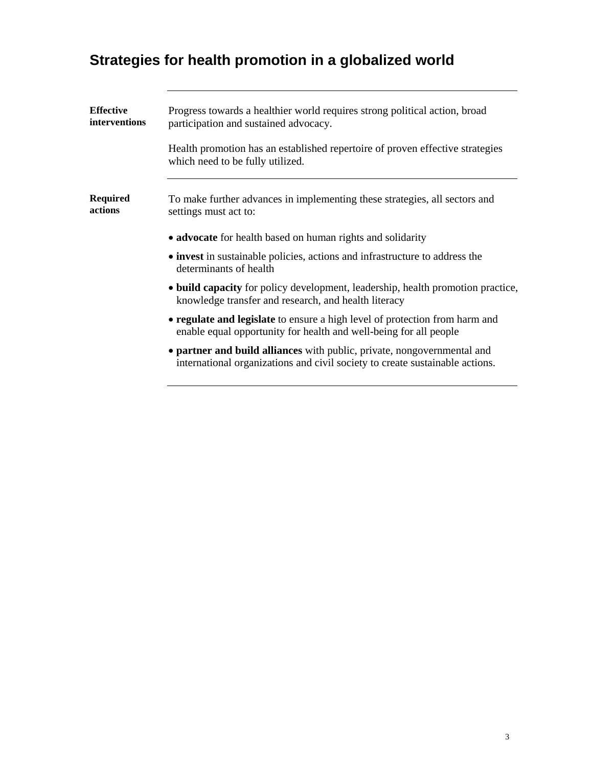## **Strategies for health promotion in a globalized world**

| <b>Effective</b><br>interventions | Progress towards a healthier world requires strong political action, broad<br>participation and sustained advocacy.                                     |
|-----------------------------------|---------------------------------------------------------------------------------------------------------------------------------------------------------|
|                                   | Health promotion has an established repertoire of proven effective strategies<br>which need to be fully utilized.                                       |
| <b>Required</b><br>actions        | To make further advances in implementing these strategies, all sectors and<br>settings must act to:                                                     |
|                                   | • advocate for health based on human rights and solidarity                                                                                              |
|                                   | • invest in sustainable policies, actions and infrastructure to address the<br>determinants of health                                                   |
|                                   | • build capacity for policy development, leadership, health promotion practice,<br>knowledge transfer and research, and health literacy                 |
|                                   | • regulate and legislate to ensure a high level of protection from harm and<br>enable equal opportunity for health and well-being for all people        |
|                                   | • partner and build alliances with public, private, nongovernmental and<br>international organizations and civil society to create sustainable actions. |
|                                   |                                                                                                                                                         |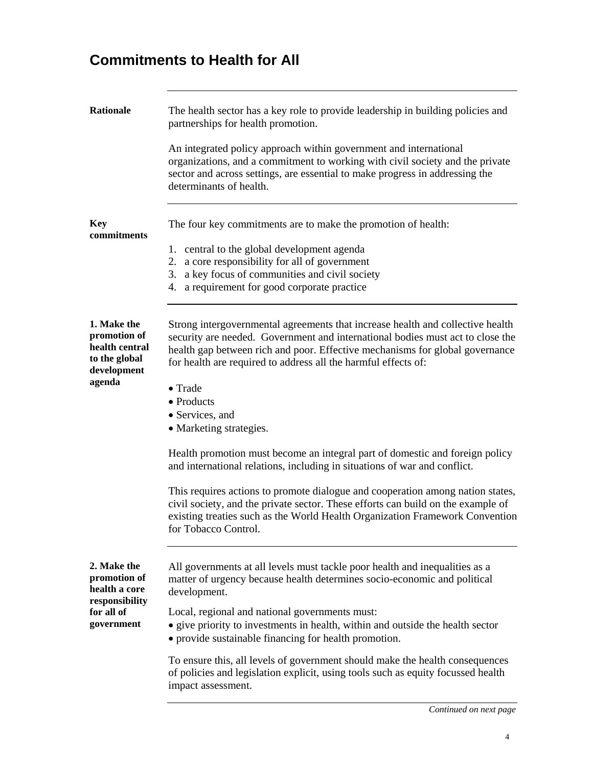### **Commitments to Health for All**

| <b>Rationale</b>                                                                           | The health sector has a key role to provide leadership in building policies and<br>partnerships for health promotion.                                                                                                                                                                                              |
|--------------------------------------------------------------------------------------------|--------------------------------------------------------------------------------------------------------------------------------------------------------------------------------------------------------------------------------------------------------------------------------------------------------------------|
|                                                                                            | An integrated policy approach within government and international<br>organizations, and a commitment to working with civil society and the private<br>sector and across settings, are essential to make progress in addressing the<br>determinants of health.                                                      |
| <b>Key</b><br>commitments                                                                  | The four key commitments are to make the promotion of health:                                                                                                                                                                                                                                                      |
|                                                                                            | 1. central to the global development agenda<br>2. a core responsibility for all of government<br>3. a key focus of communities and civil society<br>4. a requirement for good corporate practice                                                                                                                   |
| 1. Make the<br>promotion of<br>health central<br>to the global<br>development<br>agenda    | Strong intergovernmental agreements that increase health and collective health<br>security are needed. Government and international bodies must act to close the<br>health gap between rich and poor. Effective mechanisms for global governance<br>for health are required to address all the harmful effects of: |
|                                                                                            | • Trade<br>• Products<br>• Services, and<br>• Marketing strategies.                                                                                                                                                                                                                                                |
|                                                                                            | Health promotion must become an integral part of domestic and foreign policy<br>and international relations, including in situations of war and conflict.                                                                                                                                                          |
|                                                                                            | This requires actions to promote dialogue and cooperation among nation states,<br>civil society, and the private sector. These efforts can build on the example of<br>existing treaties such as the World Health Organization Framework Convention<br>for Tobacco Control.                                         |
| 2. Make the<br>promotion of<br>health a core<br>responsibility<br>for all of<br>government | All governments at all levels must tackle poor health and inequalities as a<br>matter of urgency because health determines socio-economic and political<br>development.                                                                                                                                            |
|                                                                                            | Local, regional and national governments must:<br>• give priority to investments in health, within and outside the health sector<br>• provide sustainable financing for health promotion.                                                                                                                          |
|                                                                                            | To ensure this, all levels of government should make the health consequences<br>of policies and legislation explicit, using tools such as equity focussed health<br>impact assessment.                                                                                                                             |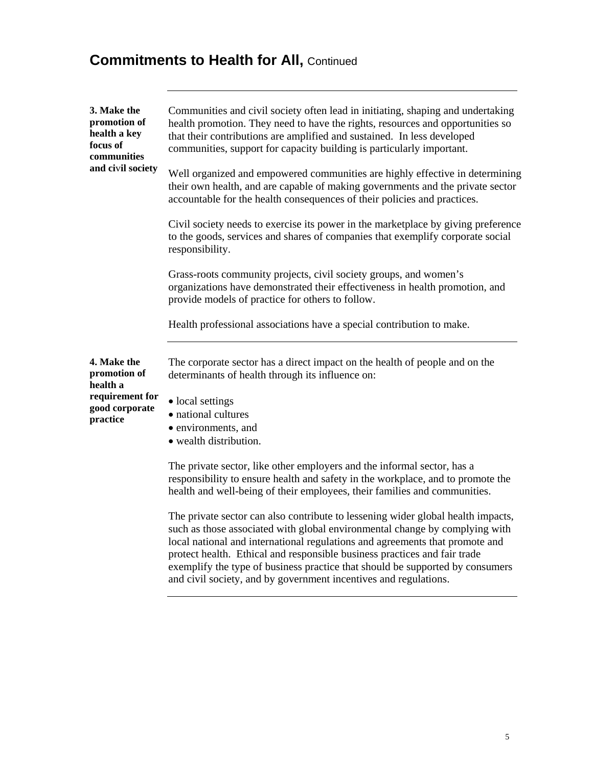# **Commitments to Health for All, Continued**

| 3. Make the<br>promotion of<br>health a key<br>focus of<br>communities                   | Communities and civil society often lead in initiating, shaping and undertaking<br>health promotion. They need to have the rights, resources and opportunities so<br>that their contributions are amplified and sustained. In less developed<br>communities, support for capacity building is particularly important.                                                                                                                                                             |
|------------------------------------------------------------------------------------------|-----------------------------------------------------------------------------------------------------------------------------------------------------------------------------------------------------------------------------------------------------------------------------------------------------------------------------------------------------------------------------------------------------------------------------------------------------------------------------------|
| and civil society                                                                        | Well organized and empowered communities are highly effective in determining<br>their own health, and are capable of making governments and the private sector<br>accountable for the health consequences of their policies and practices.                                                                                                                                                                                                                                        |
|                                                                                          | Civil society needs to exercise its power in the market place by giving preference<br>to the goods, services and shares of companies that exemplify corporate social<br>responsibility.                                                                                                                                                                                                                                                                                           |
|                                                                                          | Grass-roots community projects, civil society groups, and women's<br>organizations have demonstrated their effectiveness in health promotion, and<br>provide models of practice for others to follow.                                                                                                                                                                                                                                                                             |
|                                                                                          | Health professional associations have a special contribution to make.                                                                                                                                                                                                                                                                                                                                                                                                             |
| 4. Make the<br>promotion of<br>health a<br>requirement for<br>good corporate<br>practice | The corporate sector has a direct impact on the health of people and on the<br>determinants of health through its influence on:                                                                                                                                                                                                                                                                                                                                                   |
|                                                                                          | • local settings<br>• national cultures<br>• environments, and<br>• wealth distribution.                                                                                                                                                                                                                                                                                                                                                                                          |
|                                                                                          | The private sector, like other employers and the informal sector, has a<br>responsibility to ensure health and safety in the workplace, and to promote the<br>health and well-being of their employees, their families and communities.                                                                                                                                                                                                                                           |
|                                                                                          | The private sector can also contribute to lessening wider global health impacts,<br>such as those associated with global environmental change by complying with<br>local national and international regulations and agreements that promote and<br>protect health. Ethical and responsible business practices and fair trade<br>exemplify the type of business practice that should be supported by consumers<br>and civil society, and by government incentives and regulations. |